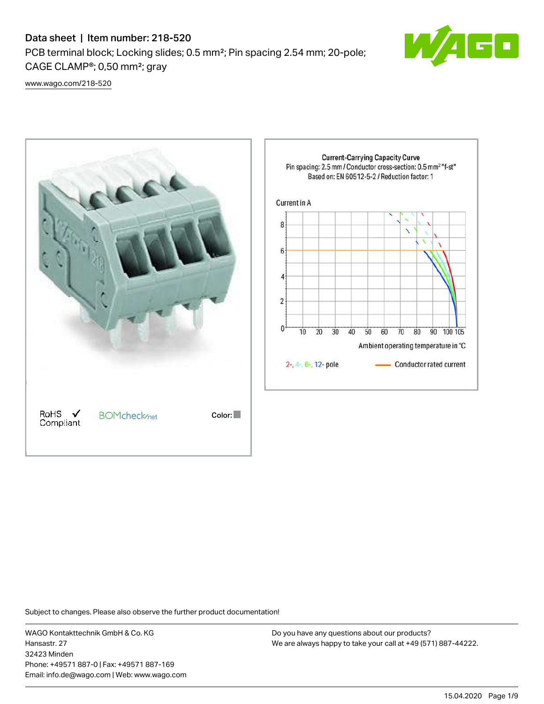# Data sheet | Item number: 218-520

PCB terminal block; Locking slides; 0.5 mm²; Pin spacing 2.54 mm; 20-pole; CAGE CLAMP®; 0,50 mm²; gray



[www.wago.com/218-520](http://www.wago.com/218-520)



Subject to changes. Please also observe the further product documentation!

WAGO Kontakttechnik GmbH & Co. KG Hansastr. 27 32423 Minden Phone: +49571 887-0 | Fax: +49571 887-169 Email: info.de@wago.com | Web: www.wago.com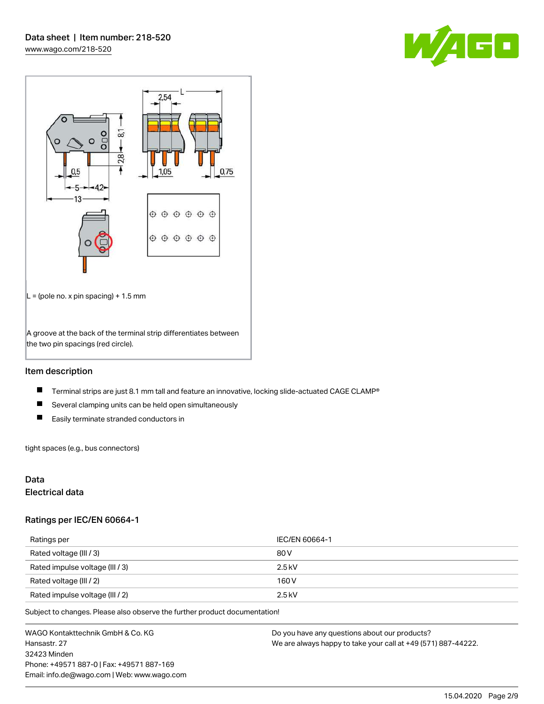



## Item description

- $\blacksquare$ Terminal strips are just 8.1 mm tall and feature an innovative, locking slide-actuated CAGE CLAMP®
- $\blacksquare$ Several clamping units can be held open simultaneously
- $\blacksquare$ Easily terminate stranded conductors in

tight spaces (e.g., bus connectors)

## Data

#### Electrical data

#### Ratings per IEC/EN 60664-1

| Ratings per                     | IEC/EN 60664-1 |
|---------------------------------|----------------|
| Rated voltage (III / 3)         | 80 V           |
| Rated impulse voltage (III / 3) | $2.5$ kV       |
| Rated voltage (III / 2)         | 160 V          |
| Rated impulse voltage (III / 2) | $2.5$ kV       |

Subject to changes. Please also observe the further product documentation!

WAGO Kontakttechnik GmbH & Co. KG Hansastr. 27 32423 Minden Phone: +49571 887-0 | Fax: +49571 887-169 Email: info.de@wago.com | Web: www.wago.com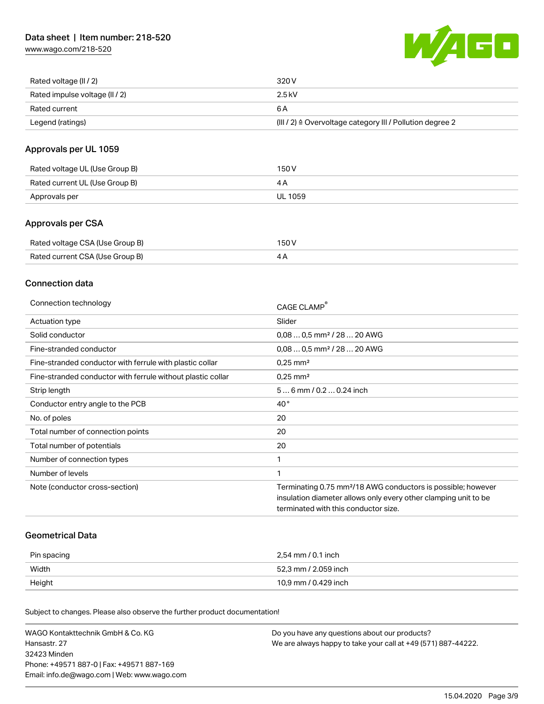[www.wago.com/218-520](http://www.wago.com/218-520)



| Rated voltage (II / 2)         | 320 V                                                                 |
|--------------------------------|-----------------------------------------------------------------------|
| Rated impulse voltage (II / 2) | 2.5 kV                                                                |
| Rated current                  | 6 A                                                                   |
| Legend (ratings)               | $(III / 2)$ $\triangle$ Overvoltage category III / Pollution degree 2 |

## Approvals per UL 1059

| Rated voltage UL (Use Group B) | 150 V   |
|--------------------------------|---------|
| Rated current UL (Use Group B) |         |
| Approvals per                  | UL 1059 |

## Approvals per CSA

| Rated voltage CSA (Use Group B) | 150 V |
|---------------------------------|-------|
| Rated current CSA (Use Group B) | 4Α    |

### Connection data

| Connection technology                                       | CAGE CLAMP®                                                              |
|-------------------------------------------------------------|--------------------------------------------------------------------------|
| Actuation type                                              | Slider                                                                   |
| Solid conductor                                             | $0.080.5$ mm <sup>2</sup> / 28  20 AWG                                   |
| Fine-stranded conductor                                     | $0.080.5$ mm <sup>2</sup> / 28  20 AWG                                   |
| Fine-stranded conductor with ferrule with plastic collar    | $0.25$ mm <sup>2</sup>                                                   |
| Fine-stranded conductor with ferrule without plastic collar | $0.25$ mm <sup>2</sup>                                                   |
| Strip length                                                | $56$ mm $/ 0.20.24$ inch                                                 |
| Conductor entry angle to the PCB                            | $40^{\circ}$                                                             |
| No. of poles                                                | 20                                                                       |
| Total number of connection points                           | 20                                                                       |
| Total number of potentials                                  | 20                                                                       |
| Number of connection types                                  | 1                                                                        |
| Number of levels                                            | 1                                                                        |
| Note (conductor cross-section)                              | Terminating 0.75 mm <sup>2</sup> /18 AWG conductors is possible; however |
|                                                             | insulation diameter allows only every other clamping unit to be          |
|                                                             | terminated with this conductor size.                                     |

#### Geometrical Data

| Pin spacing | 2,54 mm / 0.1 inch   |
|-------------|----------------------|
| Width       | 52,3 mm / 2.059 inch |
| Height      | 10,9 mm / 0.429 inch |

Subject to changes. Please also observe the further product documentation!

| WAGO Kontakttechnik GmbH & Co. KG           | Do you have any questions about our products?                 |
|---------------------------------------------|---------------------------------------------------------------|
| Hansastr. 27                                | We are always happy to take your call at +49 (571) 887-44222. |
| 32423 Minden                                |                                                               |
| Phone: +49571 887-01 Fax: +49571 887-169    |                                                               |
| Email: info.de@wago.com   Web: www.wago.com |                                                               |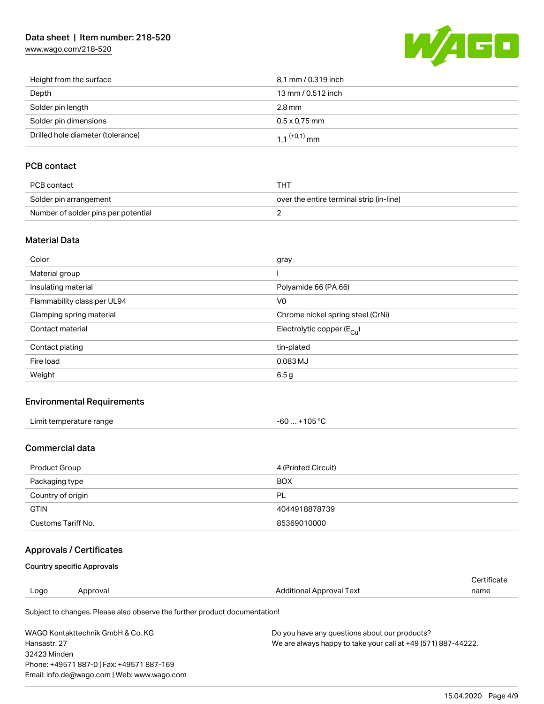# Data sheet | Item number: 218-520

[www.wago.com/218-520](http://www.wago.com/218-520)



| Height from the surface           | 8,1 mm / 0.319 inch        |
|-----------------------------------|----------------------------|
| Depth                             | 13 mm / 0.512 inch         |
| Solder pin length                 | $2.8 \,\mathrm{mm}$        |
| Solder pin dimensions             | $0.5 \times 0.75$ mm       |
| Drilled hole diameter (tolerance) | $1.1$ <sup>(+0,1)</sup> mm |

# PCB contact

| PCB contact                         | тнт                                      |
|-------------------------------------|------------------------------------------|
| Solder pin arrangement              | over the entire terminal strip (in-line) |
| Number of solder pins per potential |                                          |

#### Material Data

| Color                       | gray                                  |
|-----------------------------|---------------------------------------|
| Material group              |                                       |
| Insulating material         | Polyamide 66 (PA 66)                  |
| Flammability class per UL94 | V <sub>0</sub>                        |
| Clamping spring material    | Chrome nickel spring steel (CrNi)     |
| Contact material            | Electrolytic copper $(E_{\text{Cu}})$ |
| Contact plating             | tin-plated                            |
| Fire load                   | $0.083$ MJ                            |
| Weight                      | 6.5 <sub>g</sub>                      |

## Environmental Requirements

| Limit temperature range | +105 $^{\circ}$ C |
|-------------------------|-------------------|
|                         | -60               |
| .                       |                   |

## Commercial data

| Product Group      | 4 (Printed Circuit) |
|--------------------|---------------------|
| Packaging type     | <b>BOX</b>          |
| Country of origin  | PL                  |
| <b>GTIN</b>        | 4044918878739       |
| Customs Tariff No. | 85369010000         |

# Approvals / Certificates

#### Country specific Approvals

Phone: +49571 887-0 | Fax: +49571 887-169 Email: info.de@wago.com | Web: www.wago.com

| Logo                              | Approval                                                                   | Additional Approval Text                                      | Certificate<br>name |
|-----------------------------------|----------------------------------------------------------------------------|---------------------------------------------------------------|---------------------|
|                                   | Subject to changes. Please also observe the further product documentation! |                                                               |                     |
| WAGO Kontakttechnik GmbH & Co. KG |                                                                            | Do you have any questions about our products?                 |                     |
| Hansastr, 27                      |                                                                            | We are always happy to take your call at +49 (571) 887-44222. |                     |
| 32423 Minden                      |                                                                            |                                                               |                     |

15.04.2020 Page 4/9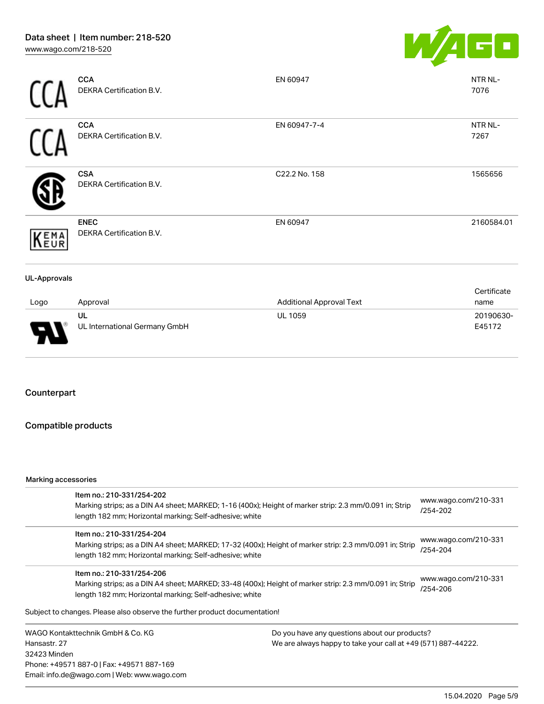

|                     | <b>CCA</b><br>DEKRA Certification B.V.  | EN 60947                        | NTR NL-<br>7076     |
|---------------------|-----------------------------------------|---------------------------------|---------------------|
|                     | <b>CCA</b><br>DEKRA Certification B.V.  | EN 60947-7-4                    | NTR NL-<br>7267     |
|                     | <b>CSA</b><br>DEKRA Certification B.V.  | C22.2 No. 158                   | 1565656             |
| KEMA                | <b>ENEC</b><br>DEKRA Certification B.V. | EN 60947                        | 2160584.01          |
| <b>UL-Approvals</b> |                                         |                                 |                     |
| Logo                | Approval                                | <b>Additional Approval Text</b> | Certificate<br>name |

| Logo                               | Approval                            | <b>Additional Approval Text</b> | name                |
|------------------------------------|-------------------------------------|---------------------------------|---------------------|
| J<br>$\overline{\phantom{a}}$<br>ı | UL<br>UL International Germany GmbH | <b>UL 1059</b>                  | 20190630-<br>E45172 |

## Counterpart

## Compatible products

#### Marking accessories

|                                   | Item no.: 210-331/254-202<br>Marking strips; as a DIN A4 sheet; MARKED; 1-16 (400x); Height of marker strip: 2.3 mm/0.091 in; Strip<br>length 182 mm; Horizontal marking; Self-adhesive; white  |                                                               | www.wago.com/210-331<br>/254-202 |  |
|-----------------------------------|-------------------------------------------------------------------------------------------------------------------------------------------------------------------------------------------------|---------------------------------------------------------------|----------------------------------|--|
|                                   | Item no.: 210-331/254-204<br>Marking strips; as a DIN A4 sheet; MARKED; 17-32 (400x); Height of marker strip: 2.3 mm/0.091 in; Strip<br>length 182 mm; Horizontal marking; Self-adhesive; white |                                                               | www.wago.com/210-331<br>/254-204 |  |
|                                   | Item no.: 210-331/254-206<br>Marking strips; as a DIN A4 sheet; MARKED; 33-48 (400x); Height of marker strip: 2.3 mm/0.091 in; Strip<br>length 182 mm; Horizontal marking; Self-adhesive; white |                                                               | www.wago.com/210-331<br>/254-206 |  |
|                                   | Subject to changes. Please also observe the further product documentation!                                                                                                                      |                                                               |                                  |  |
| WAGO Kontakttechnik GmbH & Co. KG |                                                                                                                                                                                                 | Do you have any questions about our products?                 |                                  |  |
| Hansastr, 27                      |                                                                                                                                                                                                 | We are always happy to take your call at +49 (571) 887-44222. |                                  |  |
| 32423 Minden                      |                                                                                                                                                                                                 |                                                               |                                  |  |
|                                   | Phone: +49571 887-0   Fax: +49571 887-169                                                                                                                                                       |                                                               |                                  |  |

Email: info.de@wago.com | Web: www.wago.com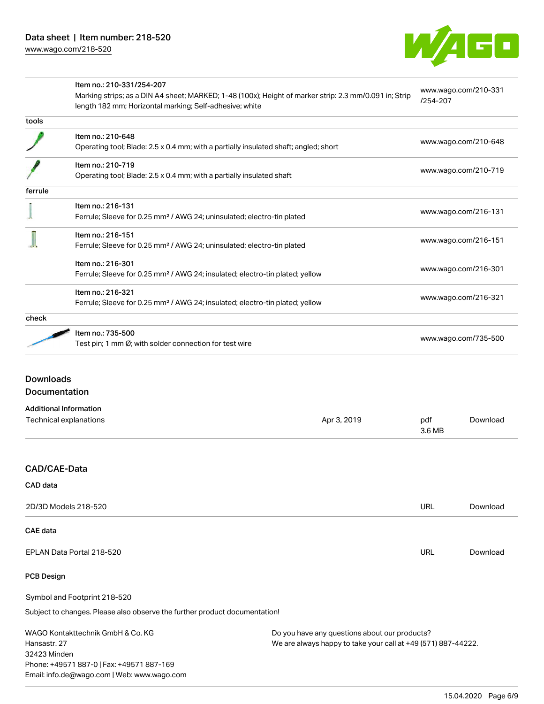

|                        | Item no.: 210-331/254-207<br>Marking strips; as a DIN A4 sheet; MARKED; 1-48 (100x); Height of marker strip: 2.3 mm/0.091 in; Strip |             |                      | www.wago.com/210-331 |
|------------------------|-------------------------------------------------------------------------------------------------------------------------------------|-------------|----------------------|----------------------|
|                        | length 182 mm; Horizontal marking; Self-adhesive; white                                                                             |             | /254-207             |                      |
| tools                  |                                                                                                                                     |             |                      |                      |
|                        | Item no.: 210-648                                                                                                                   |             |                      |                      |
|                        | Operating tool; Blade: 2.5 x 0.4 mm; with a partially insulated shaft; angled; short                                                |             |                      | www.wago.com/210-648 |
|                        | Item no.: 210-719                                                                                                                   |             |                      |                      |
|                        | Operating tool; Blade: 2.5 x 0.4 mm; with a partially insulated shaft                                                               |             |                      | www.wago.com/210-719 |
| ferrule                |                                                                                                                                     |             |                      |                      |
|                        | Item no.: 216-131                                                                                                                   |             |                      |                      |
|                        | Ferrule; Sleeve for 0.25 mm <sup>2</sup> / AWG 24; uninsulated; electro-tin plated                                                  |             | www.wago.com/216-131 |                      |
|                        | Item no.: 216-151                                                                                                                   |             |                      |                      |
|                        | Ferrule; Sleeve for 0.25 mm <sup>2</sup> / AWG 24; uninsulated; electro-tin plated                                                  |             | www.wago.com/216-151 |                      |
|                        | Item no.: 216-301                                                                                                                   |             |                      |                      |
|                        | Ferrule; Sleeve for 0.25 mm <sup>2</sup> / AWG 24; insulated; electro-tin plated; yellow                                            |             |                      | www.wago.com/216-301 |
|                        | Item no.: 216-321                                                                                                                   |             |                      |                      |
|                        | Ferrule; Sleeve for 0.25 mm <sup>2</sup> / AWG 24; insulated; electro-tin plated; yellow                                            |             |                      | www.wago.com/216-321 |
| check                  |                                                                                                                                     |             |                      |                      |
|                        | Item no.: 735-500                                                                                                                   |             |                      |                      |
|                        | Test pin; 1 mm Ø; with solder connection for test wire                                                                              |             | www.wago.com/735-500 |                      |
|                        |                                                                                                                                     |             |                      |                      |
| <b>Downloads</b>       |                                                                                                                                     |             |                      |                      |
| Documentation          |                                                                                                                                     |             |                      |                      |
|                        | <b>Additional Information</b>                                                                                                       |             |                      |                      |
|                        |                                                                                                                                     | Apr 3, 2019 | pdf                  | Download             |
| Technical explanations |                                                                                                                                     |             | 3.6 MB               |                      |

| 2D/3D Models 218-520      |     | Download |
|---------------------------|-----|----------|
| <b>CAE data</b>           |     |          |
| EPLAN Data Portal 218-520 | URL | Download |

#### PCB Design

Symbol and Footprint 218-520

Subject to changes. Please also observe the further product documentation!

WAGO Kontakttechnik GmbH & Co. KG Hansastr. 27 32423 Minden Phone: +49571 887-0 | Fax: +49571 887-169 Email: info.de@wago.com | Web: www.wago.com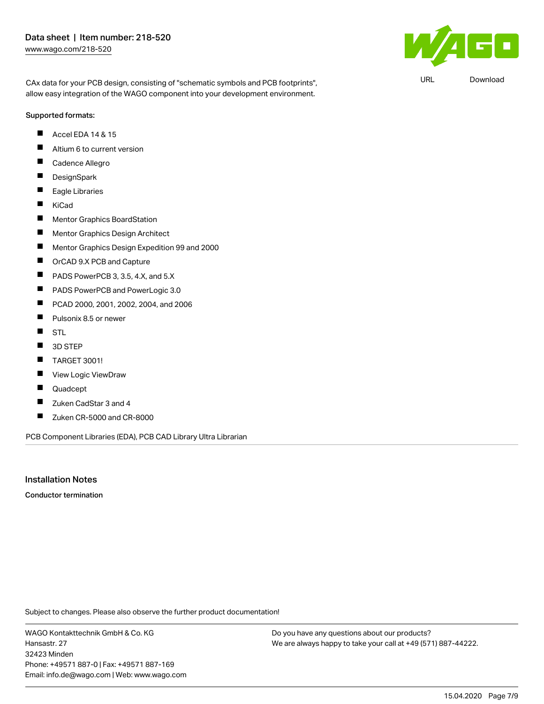$\mathbf{F}$ 

URL [Download](https://www.wago.com/de/d/UltraLibrarian_URLS_218-520)

CAx data for your PCB design, consisting of "schematic symbols and PCB footprints", allow easy integration of the WAGO component into your development environment.

#### Supported formats:

- Accel EDA 14 & 15  $\blacksquare$
- $\blacksquare$ Altium 6 to current version
- П Cadence Allegro
- $\blacksquare$ **DesignSpark**
- $\blacksquare$ Eagle Libraries
- $\blacksquare$ KiCad
- $\blacksquare$ Mentor Graphics BoardStation
- П Mentor Graphics Design Architect
- П Mentor Graphics Design Expedition 99 and 2000
- $\blacksquare$ OrCAD 9.X PCB and Capture
- $\blacksquare$ PADS PowerPCB 3, 3.5, 4.X, and 5.X
- $\blacksquare$ PADS PowerPCB and PowerLogic 3.0
- $\blacksquare$ PCAD 2000, 2001, 2002, 2004, and 2006
- $\blacksquare$ Pulsonix 8.5 or newer
- $\blacksquare$ **STL**
- $\blacksquare$ 3D STEP
- П TARGET 3001!
- $\blacksquare$ View Logic ViewDraw
- П Quadcept
- $\blacksquare$ Zuken CadStar 3 and 4
- $\blacksquare$ Zuken CR-5000 and CR-8000

PCB Component Libraries (EDA), PCB CAD Library Ultra Librarian

## Installation Notes

Conductor termination

Subject to changes. Please also observe the further product documentation!

WAGO Kontakttechnik GmbH & Co. KG Hansastr. 27 32423 Minden Phone: +49571 887-0 | Fax: +49571 887-169 Email: info.de@wago.com | Web: www.wago.com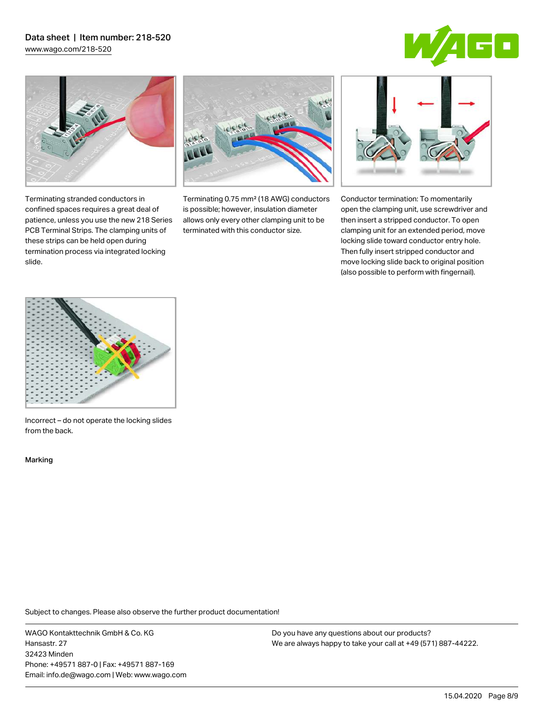# Data sheet | Item number: 218-520

[www.wago.com/218-520](http://www.wago.com/218-520)





Terminating stranded conductors in confined spaces requires a great deal of patience, unless you use the new 218 Series PCB Terminal Strips. The clamping units of these strips can be held open during termination process via integrated locking

Terminating 0.75 mm² (18 AWG) conductors is possible; however, insulation diameter allows only every other clamping unit to be terminated with this conductor size.



Conductor termination: To momentarily open the clamping unit, use screwdriver and then insert a stripped conductor. To open clamping unit for an extended period, move locking slide toward conductor entry hole. Then fully insert stripped conductor and move locking slide back to original position (also possible to perform with fingernail).



Incorrect – do not operate the locking slides from the back.

Marking

slide.

Subject to changes. Please also observe the further product documentation!

WAGO Kontakttechnik GmbH & Co. KG Hansastr. 27 32423 Minden Phone: +49571 887-0 | Fax: +49571 887-169 Email: info.de@wago.com | Web: www.wago.com